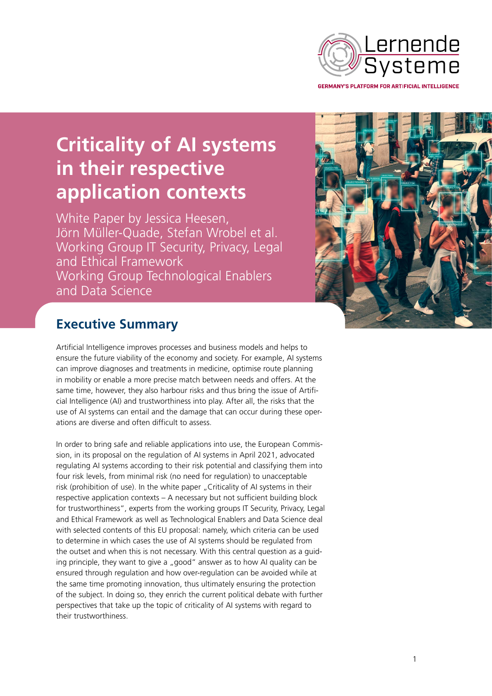

**Criticality of AI systems in their respective application contexts**

White Paper by Jessica Heesen, Jörn Müller-Quade, Stefan Wrobel et al. Working Group IT Security, Privacy, Legal and Ethical Framework Working Group Technological Enablers and Data Science



# **Executive Summary**

Artificial Intelligence improves processes and business models and helps to ensure the future viability of the economy and society. For example, AI systems can improve diagnoses and treatments in medicine, optimise route planning in mobility or enable a more precise match between needs and offers. At the same time, however, they also harbour risks and thus bring the issue of Artificial Intelligence (AI) and trustworthiness into play. After all, the risks that the use of AI systems can entail and the damage that can occur during these operations are diverse and often difficult to assess.

In order to bring safe and reliable applications into use, the European Commission, in its proposal on the regulation of AI systems in April 2021, advocated regulating AI systems according to their risk potential and classifying them into four risk levels, from minimal risk (no need for regulation) to unacceptable risk (prohibition of use). In the white paper "Criticality of AI systems in their respective application contexts – A necessary but not sufficient building block for trustworthiness", experts from the working groups IT Security, Privacy, Legal and Ethical Framework as well as Technological Enablers and Data Science deal with selected contents of this EU proposal: namely, which criteria can be used to determine in which cases the use of AI systems should be regulated from the outset and when this is not necessary. With this central question as a guiding principle, they want to give a "good" answer as to how AI quality can be ensured through regulation and how over-regulation can be avoided while at the same time promoting innovation, thus ultimately ensuring the protection of the subject. In doing so, they enrich the current political debate with further perspectives that take up the topic of criticality of AI systems with regard to their trustworthiness.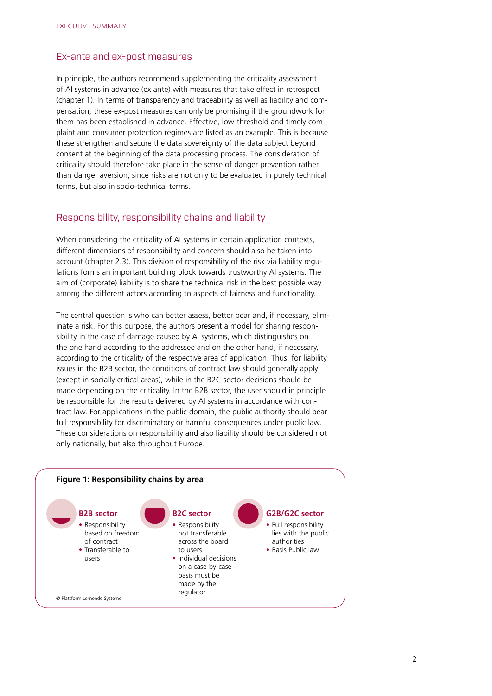### Ex-ante and ex-post measures

In principle, the authors recommend supplementing the criticality assessment of AI systems in advance (ex ante) with measures that take effect in retrospect (chapter 1). In terms of transparency and traceability as well as liability and compensation, these ex-post measures can only be promising if the groundwork for them has been established in advance. Effective, low-threshold and timely complaint and consumer protection regimes are listed as an example. This is because these strengthen and secure the data sovereignty of the data subject beyond consent at the beginning of the data processing process. The consideration of criticality should therefore take place in the sense of danger prevention rather than danger aversion, since risks are not only to be evaluated in purely technical terms, but also in socio-technical terms.

#### Responsibility, responsibility chains and liability

When considering the criticality of AI systems in certain application contexts, different dimensions of responsibility and concern should also be taken into account (chapter 2.3). This division of responsibility of the risk via liability regulations forms an important building block towards trustworthy AI systems. The aim of (corporate) liability is to share the technical risk in the best possible way among the different actors according to aspects of fairness and functionality.

The central question is who can better assess, better bear and, if necessary, eliminate a risk. For this purpose, the authors present a model for sharing responsibility in the case of damage caused by AI systems, which distinguishes on the one hand according to the addressee and on the other hand, if necessary, according to the criticality of the respective area of application. Thus, for liability issues in the B2B sector, the conditions of contract law should generally apply (except in socially critical areas), while in the B2C sector decisions should be made depending on the criticality. In the B2B sector, the user should in principle be responsible for the results delivered by AI systems in accordance with contract law. For applications in the public domain, the public authority should bear full responsibility for discriminatory or harmful consequences under public law. These considerations on responsibility and also liability should be considered not only nationally, but also throughout Europe.

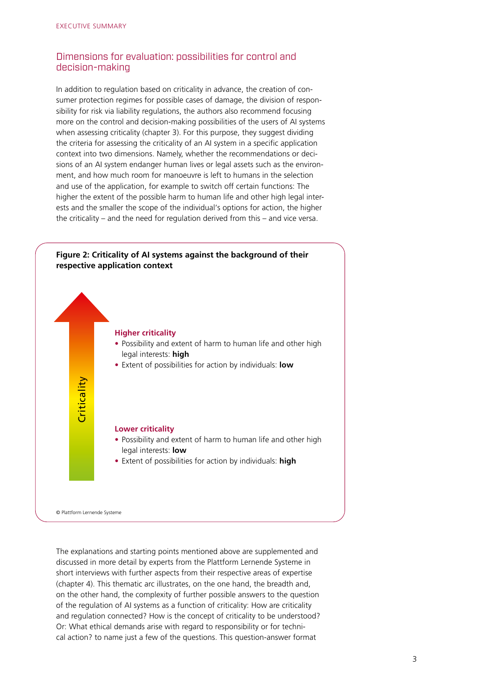## Dimensions for evaluation: possibilities for control and decision-making

In addition to regulation based on criticality in advance, the creation of consumer protection regimes for possible cases of damage, the division of responsibility for risk via liability regulations, the authors also recommend focusing more on the control and decision-making possibilities of the users of AI systems when assessing criticality (chapter 3). For this purpose, they suggest dividing the criteria for assessing the criticality of an AI system in a specific application context into two dimensions. Namely, whether the recommendations or decisions of an AI system endanger human lives or legal assets such as the environment, and how much room for manoeuvre is left to humans in the selection and use of the application, for example to switch off certain functions: The higher the extent of the possible harm to human life and other high legal interests and the smaller the scope of the individual's options for action, the higher the criticality – and the need for regulation derived from this – and vice versa.



The explanations and starting points mentioned above are supplemented and discussed in more detail by experts from the Plattform Lernende Systeme in short interviews with further aspects from their respective areas of expertise (chapter 4). This thematic arc illustrates, on the one hand, the breadth and, on the other hand, the complexity of further possible answers to the question of the regulation of AI systems as a function of criticality: How are criticality and regulation connected? How is the concept of criticality to be understood? Or: What ethical demands arise with regard to responsibility or for techni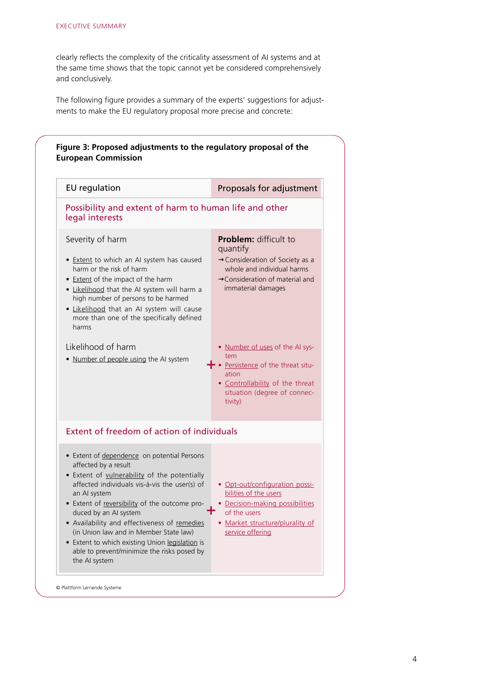clearly reflects the complexity of the criticality assessment of AI systems and at the same time shows that the topic cannot yet be considered comprehensively and conclusively.

The following figure provides a summary of the experts' suggestions for adjustments to make the EU regulatory proposal more precise and concrete: